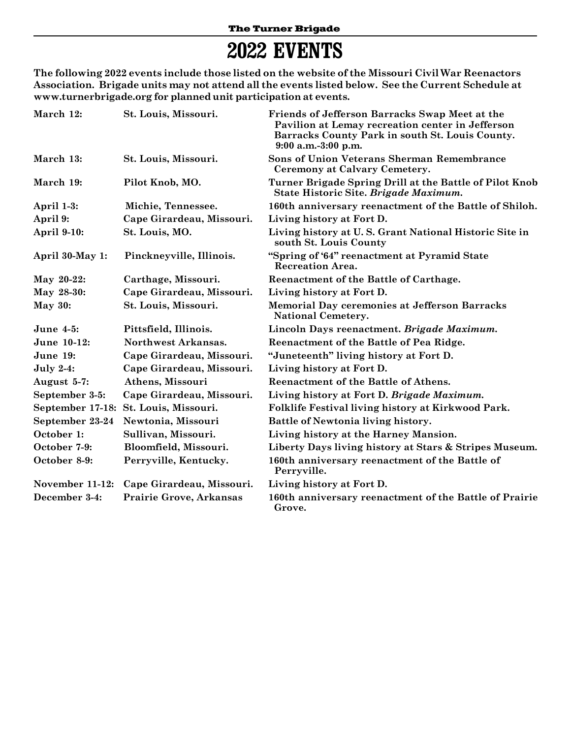## **2022 EVENTS**

**The following 2022 events include those listed on the website of the Missouri Civil War Reenactors Association. Brigade units may not attend all the events listed below. See the Current Schedule at www.turnerbrigade.org for planned unit participation at events.**

| March 12:          | St. Louis, Missouri.           | Friends of Jefferson Barracks Swap Meet at the<br>Pavilion at Lemay recreation center in Jefferson<br>Barracks County Park in south St. Louis County.<br>$9:00$ a.m.-3:00 p.m. |
|--------------------|--------------------------------|--------------------------------------------------------------------------------------------------------------------------------------------------------------------------------|
| March 13:          | St. Louis, Missouri.           | Sons of Union Veterans Sherman Remembrance<br>Ceremony at Calvary Cemetery.                                                                                                    |
| March 19:          | Pilot Knob, MO.                | Turner Brigade Spring Drill at the Battle of Pilot Knob<br>State Historic Site. Brigade Maximum.                                                                               |
| April 1-3:         | Michie, Tennessee.             | 160th anniversary reenactment of the Battle of Shiloh.                                                                                                                         |
| April 9:           | Cape Girardeau, Missouri.      | Living history at Fort D.                                                                                                                                                      |
| <b>April 9-10:</b> | St. Louis, MO.                 | Living history at U.S. Grant National Historic Site in<br>south St. Louis County                                                                                               |
| April 30-May 1:    | Pinckneyville, Illinois.       | "Spring of '64" reenactment at Pyramid State<br><b>Recreation Area.</b>                                                                                                        |
| May 20-22:         | Carthage, Missouri.            | Reenactment of the Battle of Carthage.                                                                                                                                         |
| May 28-30:         | Cape Girardeau, Missouri.      | Living history at Fort D.                                                                                                                                                      |
| <b>May 30:</b>     | St. Louis, Missouri.           | <b>Memorial Day ceremonies at Jefferson Barracks</b><br><b>National Cemetery.</b>                                                                                              |
| <b>June 4-5:</b>   | Pittsfield, Illinois.          | Lincoln Days reenactment. Brigade Maximum.                                                                                                                                     |
| June 10-12:        | Northwest Arkansas.            | Reenactment of the Battle of Pea Ridge.                                                                                                                                        |
| June 19:           | Cape Girardeau, Missouri.      | "Juneteenth" living history at Fort D.                                                                                                                                         |
| <b>July 2-4:</b>   | Cape Girardeau, Missouri.      | Living history at Fort D.                                                                                                                                                      |
| August 5-7:        | Athens, Missouri               | Reenactment of the Battle of Athens.                                                                                                                                           |
| September 3-5:     | Cape Girardeau, Missouri.      | Living history at Fort D. Brigade Maximum.                                                                                                                                     |
| September 17-18:   | St. Louis, Missouri.           | Folklife Festival living history at Kirkwood Park.                                                                                                                             |
| September 23-24    | Newtonia, Missouri             | Battle of Newtonia living history.                                                                                                                                             |
| October 1:         | Sullivan, Missouri.            | Living history at the Harney Mansion.                                                                                                                                          |
| October 7-9:       | Bloomfield, Missouri.          | Liberty Days living history at Stars & Stripes Museum.                                                                                                                         |
| October 8-9:       | Perryville, Kentucky.          | 160th anniversary reenactment of the Battle of<br>Perryville.                                                                                                                  |
| November 11-12:    | Cape Girardeau, Missouri.      | Living history at Fort D.                                                                                                                                                      |
| December 3-4:      | <b>Prairie Grove, Arkansas</b> | 160th anniversary reenactment of the Battle of Prairie<br>Grove.                                                                                                               |